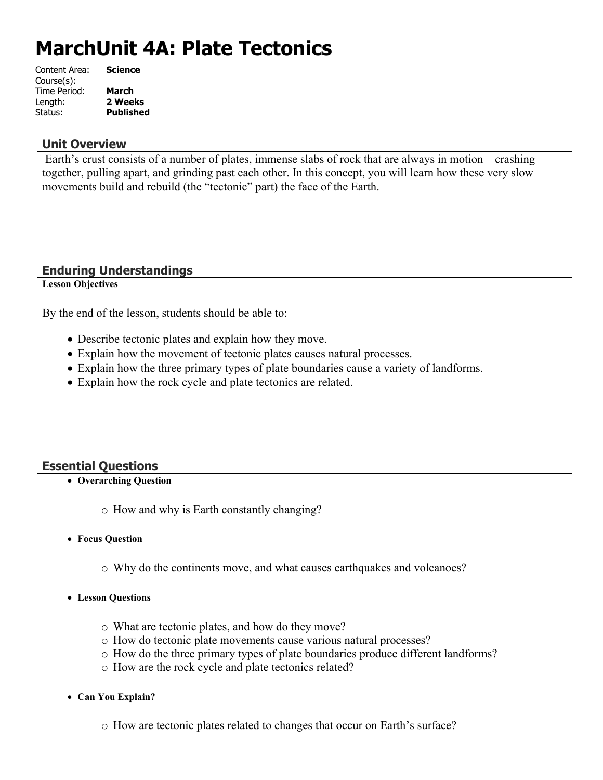# **MarchUnit 4A: Plate Tectonics**

| <b>Science</b>   |
|------------------|
|                  |
| <b>March</b>     |
| 2 Weeks          |
| <b>Published</b> |
|                  |

# **Unit Overview**

 Earth's crust consists of a number of plates, immense slabs of rock that are always in motion—crashing together, pulling apart, and grinding past each other. In this concept, you will learn how these very slow movements build and rebuild (the "tectonic" part) the face of the Earth.

# **Enduring Understandings**

**Lesson Objectives**

By the end of the lesson, students should be able to:

- Describe tectonic plates and explain how they move.
- Explain how the movement of tectonic plates causes natural processes.
- Explain how the three primary types of plate boundaries cause a variety of landforms.
- Explain how the rock cycle and plate tectonics are related.

# **Essential Questions**

**Overarching Question**

o How and why is Earth constantly changing?

- **Focus Question**
	- o Why do the continents move, and what causes earthquakes and volcanoes?
- **Lesson Questions**
	- o What are tectonic plates, and how do they move?
	- o How do tectonic plate movements cause various natural processes?
	- o How do the three primary types of plate boundaries produce different landforms?
	- o How are the rock cycle and plate tectonics related?
- **Can You Explain?**
	- o How are tectonic plates related to changes that occur on Earth's surface?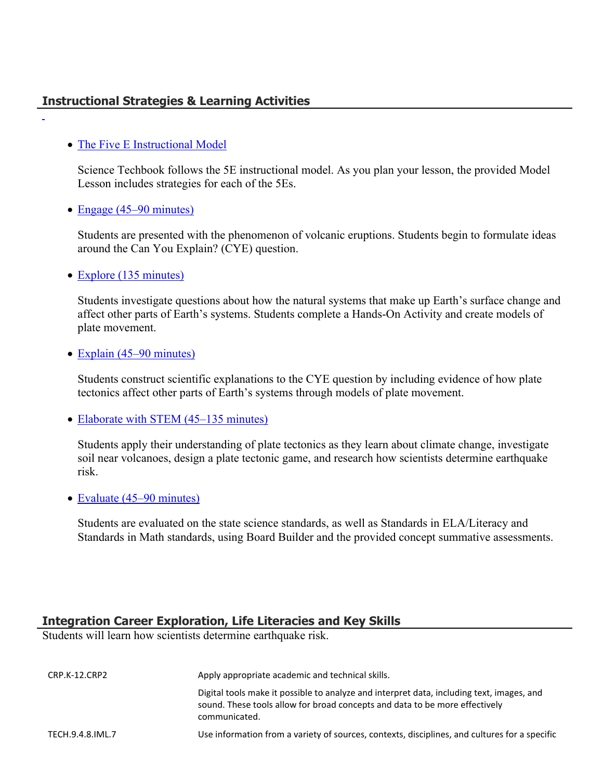# **Instructional Strategies & Learning Activities**

#### • [The Five E Instructional Model](https://app.discoveryeducation.com/learn/techbook/units/2ae9f1a7-63a1-4f5c-8db5-a4b1c4f8e9ea/concepts/7e432897-4033-4719-a6d8-06d9124eab33/lesson/sections/2210fcb4-410e-4a21-8275-236fb6fc9eb8#4ed02cdf-1aa6-4f96-8458-f8dc7bbe7b66)

Science Techbook follows the 5E instructional model. As you plan your lesson, the provided Model Lesson includes strategies for each of the 5Es.

#### • [Engage \(45–90 minutes\)](https://app.discoveryeducation.com/learn/techbook/units/2ae9f1a7-63a1-4f5c-8db5-a4b1c4f8e9ea/concepts/7e432897-4033-4719-a6d8-06d9124eab33/lesson/sections/2210fcb4-410e-4a21-8275-236fb6fc9eb8#7f5571d4-d38c-4e2f-bd78-1a0b308f8ea3)

Students are presented with the phenomenon of volcanic eruptions. Students begin to formulate ideas around the Can You Explain? (CYE) question.

• [Explore \(135 minutes\)](https://app.discoveryeducation.com/learn/techbook/units/2ae9f1a7-63a1-4f5c-8db5-a4b1c4f8e9ea/concepts/7e432897-4033-4719-a6d8-06d9124eab33/lesson/sections/2210fcb4-410e-4a21-8275-236fb6fc9eb8#615c2d2e-b64e-48a0-bff7-e0b1f7284959)

Students investigate questions about how the natural systems that make up Earth's surface change and affect other parts of Earth's systems. Students complete a Hands-On Activity and create models of plate movement.

#### • [Explain \(45–90 minutes\)](https://app.discoveryeducation.com/learn/techbook/units/2ae9f1a7-63a1-4f5c-8db5-a4b1c4f8e9ea/concepts/7e432897-4033-4719-a6d8-06d9124eab33/lesson/sections/2210fcb4-410e-4a21-8275-236fb6fc9eb8#f6710f90-e2aa-49c6-9734-43665afea443)

Students construct scientific explanations to the CYE question by including evidence of how plate tectonics affect other parts of Earth's systems through models of plate movement.

• [Elaborate with STEM \(45–135 minutes\)](https://app.discoveryeducation.com/learn/techbook/units/2ae9f1a7-63a1-4f5c-8db5-a4b1c4f8e9ea/concepts/7e432897-4033-4719-a6d8-06d9124eab33/lesson/sections/2210fcb4-410e-4a21-8275-236fb6fc9eb8#e5c295f3-40f5-47c9-b8d5-356e52547eb0)

Students apply their understanding of plate tectonics as they learn about climate change, investigate soil near volcanoes, design a plate tectonic game, and research how scientists determine earthquake risk.

• [Evaluate \(45–90 minutes\)](https://app.discoveryeducation.com/learn/techbook/units/2ae9f1a7-63a1-4f5c-8db5-a4b1c4f8e9ea/concepts/7e432897-4033-4719-a6d8-06d9124eab33/lesson/sections/2210fcb4-410e-4a21-8275-236fb6fc9eb8#89f59095-0040-4981-bfe5-1b66c917a4a5)

Students are evaluated on the state science standards, as well as Standards in ELA/Literacy and Standards in Math standards, using Board Builder and the provided concept summative assessments.

#### **Integration Career Exploration, Life Literacies and Key Skills**

Students will learn how scientists determine earthquake risk.

| CRP.K-12.CRP2    | Apply appropriate academic and technical skills.                                                                                                                                          |
|------------------|-------------------------------------------------------------------------------------------------------------------------------------------------------------------------------------------|
|                  | Digital tools make it possible to analyze and interpret data, including text, images, and<br>sound. These tools allow for broad concepts and data to be more effectively<br>communicated. |
| TECH.9.4.8.IML.7 | Use information from a variety of sources, contexts, disciplines, and cultures for a specific                                                                                             |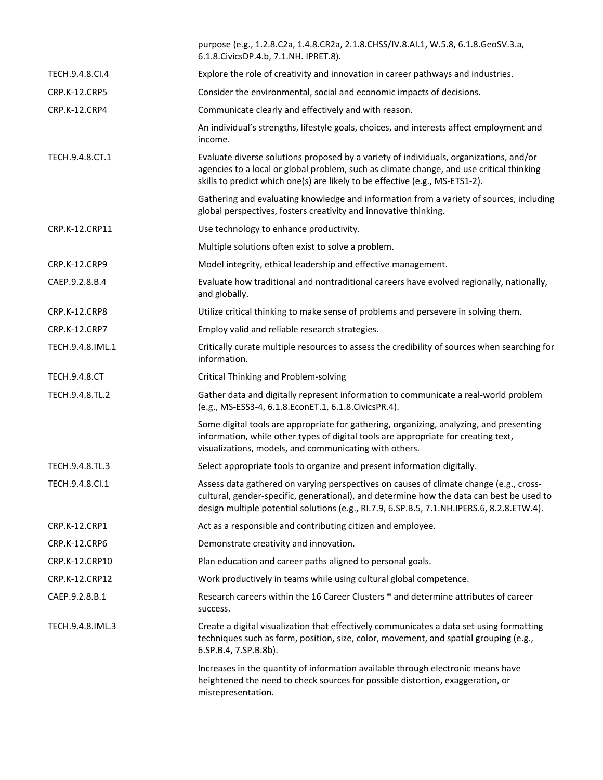|                      | purpose (e.g., 1.2.8.C2a, 1.4.8.CR2a, 2.1.8.CHSS/IV.8.AI.1, W.5.8, 6.1.8.GeoSV.3.a,<br>6.1.8. Civics DP.4.b, 7.1. NH. IPRET.8).                                                                                                                                                  |
|----------------------|----------------------------------------------------------------------------------------------------------------------------------------------------------------------------------------------------------------------------------------------------------------------------------|
| TECH.9.4.8.CI.4      | Explore the role of creativity and innovation in career pathways and industries.                                                                                                                                                                                                 |
| <b>CRP.K-12.CRP5</b> | Consider the environmental, social and economic impacts of decisions.                                                                                                                                                                                                            |
| CRP.K-12.CRP4        | Communicate clearly and effectively and with reason.                                                                                                                                                                                                                             |
|                      | An individual's strengths, lifestyle goals, choices, and interests affect employment and<br>income.                                                                                                                                                                              |
| TECH.9.4.8.CT.1      | Evaluate diverse solutions proposed by a variety of individuals, organizations, and/or<br>agencies to a local or global problem, such as climate change, and use critical thinking<br>skills to predict which one(s) are likely to be effective (e.g., MS-ETS1-2).               |
|                      | Gathering and evaluating knowledge and information from a variety of sources, including<br>global perspectives, fosters creativity and innovative thinking.                                                                                                                      |
| CRP.K-12.CRP11       | Use technology to enhance productivity.                                                                                                                                                                                                                                          |
|                      | Multiple solutions often exist to solve a problem.                                                                                                                                                                                                                               |
| CRP.K-12.CRP9        | Model integrity, ethical leadership and effective management.                                                                                                                                                                                                                    |
| CAEP.9.2.8.B.4       | Evaluate how traditional and nontraditional careers have evolved regionally, nationally,<br>and globally.                                                                                                                                                                        |
| CRP.K-12.CRP8        | Utilize critical thinking to make sense of problems and persevere in solving them.                                                                                                                                                                                               |
| CRP.K-12.CRP7        | Employ valid and reliable research strategies.                                                                                                                                                                                                                                   |
| TECH.9.4.8.IML.1     | Critically curate multiple resources to assess the credibility of sources when searching for<br>information.                                                                                                                                                                     |
| <b>TECH.9.4.8.CT</b> | Critical Thinking and Problem-solving                                                                                                                                                                                                                                            |
| TECH.9.4.8.TL.2      | Gather data and digitally represent information to communicate a real-world problem<br>(e.g., MS-ESS3-4, 6.1.8.EconET.1, 6.1.8.CivicsPR.4).                                                                                                                                      |
|                      | Some digital tools are appropriate for gathering, organizing, analyzing, and presenting<br>information, while other types of digital tools are appropriate for creating text,<br>visualizations, models, and communicating with others.                                          |
| TECH.9.4.8.TL.3      | Select appropriate tools to organize and present information digitally.                                                                                                                                                                                                          |
| TECH.9.4.8.Cl.1      | Assess data gathered on varying perspectives on causes of climate change (e.g., cross-<br>cultural, gender-specific, generational), and determine how the data can best be used to<br>design multiple potential solutions (e.g., RI.7.9, 6.SP.B.5, 7.1.NH.IPERS.6, 8.2.8.ETW.4). |
| CRP.K-12.CRP1        | Act as a responsible and contributing citizen and employee.                                                                                                                                                                                                                      |
| <b>CRP.K-12.CRP6</b> | Demonstrate creativity and innovation.                                                                                                                                                                                                                                           |
| CRP.K-12.CRP10       | Plan education and career paths aligned to personal goals.                                                                                                                                                                                                                       |
| CRP.K-12.CRP12       | Work productively in teams while using cultural global competence.                                                                                                                                                                                                               |
| CAEP.9.2.8.B.1       | Research careers within the 16 Career Clusters ® and determine attributes of career<br>success.                                                                                                                                                                                  |
| TECH.9.4.8.IML.3     | Create a digital visualization that effectively communicates a data set using formatting<br>techniques such as form, position, size, color, movement, and spatial grouping (e.g.,<br>6.SP.B.4, 7.SP.B.8b).                                                                       |
|                      | Increases in the quantity of information available through electronic means have<br>heightened the need to check sources for possible distortion, exaggeration, or<br>misrepresentation.                                                                                         |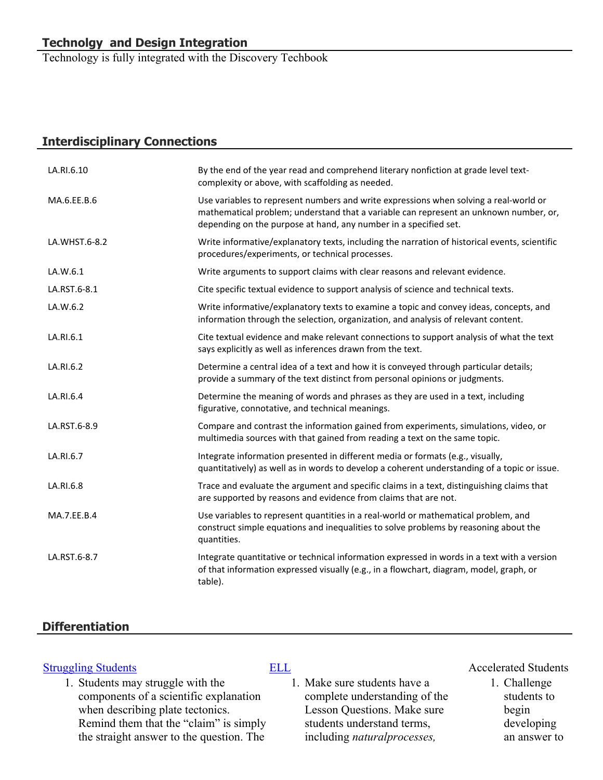Technology is fully integrated with the Discovery Techbook

# **Interdisciplinary Connections**

| LA.RI.6.10    | By the end of the year read and comprehend literary nonfiction at grade level text-<br>complexity or above, with scaffolding as needed.                                                                                                            |
|---------------|----------------------------------------------------------------------------------------------------------------------------------------------------------------------------------------------------------------------------------------------------|
| MA.6.EE.B.6   | Use variables to represent numbers and write expressions when solving a real-world or<br>mathematical problem; understand that a variable can represent an unknown number, or,<br>depending on the purpose at hand, any number in a specified set. |
| LA.WHST.6-8.2 | Write informative/explanatory texts, including the narration of historical events, scientific<br>procedures/experiments, or technical processes.                                                                                                   |
| LA.W.6.1      | Write arguments to support claims with clear reasons and relevant evidence.                                                                                                                                                                        |
| LA.RST.6-8.1  | Cite specific textual evidence to support analysis of science and technical texts.                                                                                                                                                                 |
| LA.W.6.2      | Write informative/explanatory texts to examine a topic and convey ideas, concepts, and<br>information through the selection, organization, and analysis of relevant content.                                                                       |
| LA.RI.6.1     | Cite textual evidence and make relevant connections to support analysis of what the text<br>says explicitly as well as inferences drawn from the text.                                                                                             |
| LA.RI.6.2     | Determine a central idea of a text and how it is conveyed through particular details;<br>provide a summary of the text distinct from personal opinions or judgments.                                                                               |
| LA.RI.6.4     | Determine the meaning of words and phrases as they are used in a text, including<br>figurative, connotative, and technical meanings.                                                                                                               |
| LA.RST.6-8.9  | Compare and contrast the information gained from experiments, simulations, video, or<br>multimedia sources with that gained from reading a text on the same topic.                                                                                 |
| LA.RI.6.7     | Integrate information presented in different media or formats (e.g., visually,<br>quantitatively) as well as in words to develop a coherent understanding of a topic or issue.                                                                     |
| LA.RI.6.8     | Trace and evaluate the argument and specific claims in a text, distinguishing claims that<br>are supported by reasons and evidence from claims that are not.                                                                                       |
| MA.7.EE.B.4   | Use variables to represent quantities in a real-world or mathematical problem, and<br>construct simple equations and inequalities to solve problems by reasoning about the<br>quantities.                                                          |
| LA.RST.6-8.7  | Integrate quantitative or technical information expressed in words in a text with a version<br>of that information expressed visually (e.g., in a flowchart, diagram, model, graph, or<br>table).                                                  |

# **Differentiation**

1. Students may struggle with the components of a scientific explanation when describing plate tectonics. Remind them that the "claim" is simply the straight answer to the question. The

1. Make sure students have a complete understanding of the Lesson Questions. Make sure students understand terms, including *naturalprocesses,* 

# [Struggling Students](https://app.discoveryeducation.com/player/view/assetGuid/4995767F-D634-40C6-B25B-BDEA06E14F90) [ELL](https://app.discoveryeducation.com/player/view/assetGuid/D727DF69-B79B-4A92-AA1F-CE23C74D98D9) ELL Accelerated Students

1. Challenge students to begin developing an answer to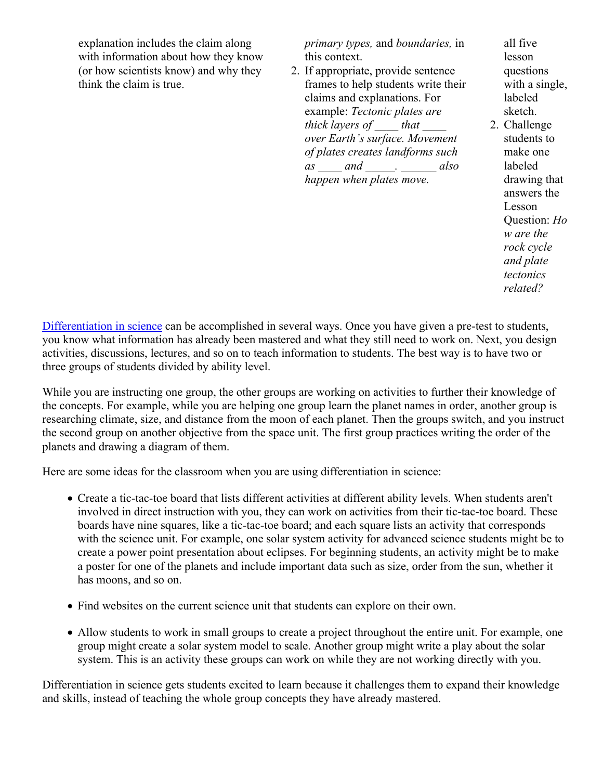explanation includes the claim along with information about how they know (or how scientists know) and why they think the claim is true.

*primary types,* and *boundaries,* in this context.

2. If appropriate, provide sentence frames to help students write their claims and explanations. For example: *Tectonic plates are thick layers of \_\_\_\_ that \_\_\_\_ over Earth's surface. Movement of plates creates landforms such as \_\_\_\_ and \_\_\_\_\_. \_\_\_\_\_\_ also happen when plates move.*

all five lesson questions with a single, labeled sketch.

2. Challenge students to make one labeled drawing that answers the Lesson Question: *Ho w are the rock cycle and plate tectonics related?*

[Differentiation in science](http://www.brighthubeducation.com/teaching-gifted-students/65181-differentiation-techniques-and-activities-in-the-classroom-for-gifted-students/) can be accomplished in several ways. Once you have given a pre-test to students, you know what information has already been mastered and what they still need to work on. Next, you design activities, discussions, lectures, and so on to teach information to students. The best way is to have two or three groups of students divided by ability level.

While you are instructing one group, the other groups are working on activities to further their knowledge of the concepts. For example, while you are helping one group learn the planet names in order, another group is researching climate, size, and distance from the moon of each planet. Then the groups switch, and you instruct the second group on another objective from the space unit. The first group practices writing the order of the planets and drawing a diagram of them.

Here are some ideas for the classroom when you are using differentiation in science:

- Create a tic-tac-toe board that lists different activities at different ability levels. When students aren't involved in direct instruction with you, they can work on activities from their tic-tac-toe board. These boards have nine squares, like a tic-tac-toe board; and each square lists an activity that corresponds with the science unit. For example, one solar system activity for advanced science students might be to create a power point presentation about eclipses. For beginning students, an activity might be to make a poster for one of the planets and include important data such as size, order from the sun, whether it has moons, and so on.
- Find websites on the current science unit that students can explore on their own.
- Allow students to work in small groups to create a project throughout the entire unit. For example, one group might create a solar system model to scale. Another group might write a play about the solar system. This is an activity these groups can work on while they are not working directly with you.

Differentiation in science gets students excited to learn because it challenges them to expand their knowledge and skills, instead of teaching the whole group concepts they have already mastered.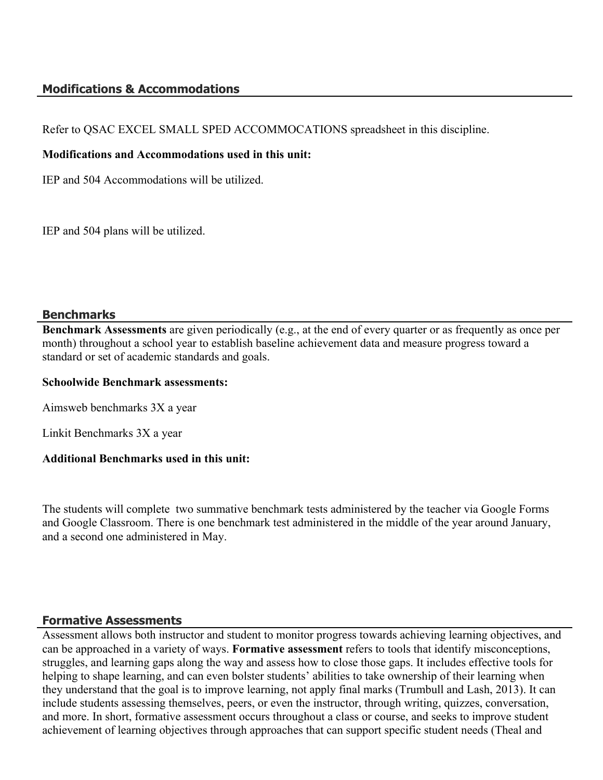# **Modifications & Accommodations**

Refer to QSAC EXCEL SMALL SPED ACCOMMOCATIONS spreadsheet in this discipline.

#### **Modifications and Accommodations used in this unit:**

IEP and 504 Accommodations will be utilized.

IEP and 504 plans will be utilized.

#### **Benchmarks**

**Benchmark Assessments** are given periodically (e.g., at the end of every quarter or as frequently as once per month) throughout a school year to establish baseline achievement data and measure progress toward a standard or set of academic standards and goals.

#### **Schoolwide Benchmark assessments:**

Aimsweb benchmarks 3X a year

Linkit Benchmarks 3X a year

# **Additional Benchmarks used in this unit:**

The students will complete two summative benchmark tests administered by the teacher via Google Forms and Google Classroom. There is one benchmark test administered in the middle of the year around January, and a second one administered in May.

# **Formative Assessments**

Assessment allows both instructor and student to monitor progress towards achieving learning objectives, and can be approached in a variety of ways. **Formative assessment** refers to tools that identify misconceptions, struggles, and learning gaps along the way and assess how to close those gaps. It includes effective tools for helping to shape learning, and can even bolster students' abilities to take ownership of their learning when they understand that the goal is to improve learning, not apply final marks (Trumbull and Lash, 2013). It can include students assessing themselves, peers, or even the instructor, through writing, quizzes, conversation, and more. In short, formative assessment occurs throughout a class or course, and seeks to improve student achievement of learning objectives through approaches that can support specific student needs (Theal and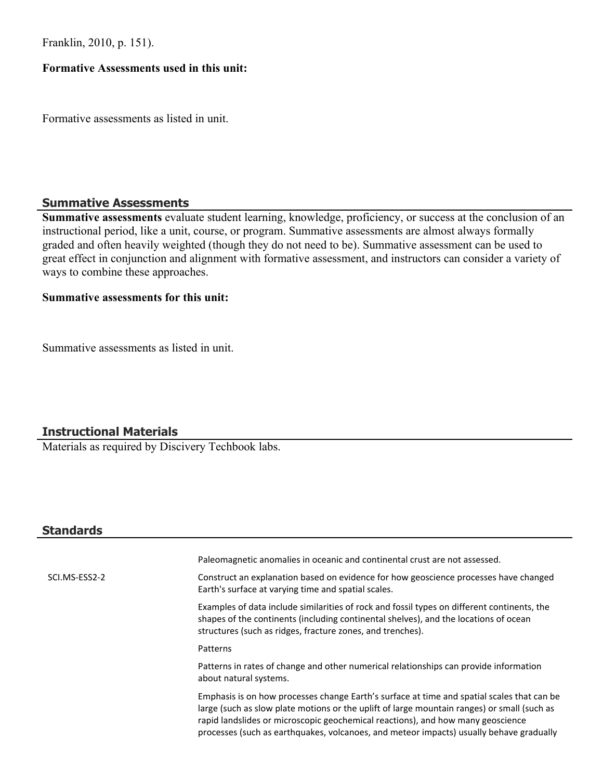Franklin, 2010, p. 151).

#### **Formative Assessments used in this unit:**

Formative assessments as listed in unit.

#### **Summative Assessments**

**Summative assessments** evaluate student learning, knowledge, proficiency, or success at the conclusion of an instructional period, like a unit, course, or program. Summative assessments are almost always formally graded and often heavily weighted (though they do not need to be). Summative assessment can be used to great effect in conjunction and alignment with formative assessment, and instructors can consider a variety of ways to combine these approaches.

#### **Summative assessments for this unit:**

Summative assessments as listed in unit.

# **Instructional Materials**

Materials as required by Discivery Techbook labs.

# **Standards**

|               | Paleomagnetic anomalies in oceanic and continental crust are not assessed.                                                                                                                                                                                                                                                                                              |
|---------------|-------------------------------------------------------------------------------------------------------------------------------------------------------------------------------------------------------------------------------------------------------------------------------------------------------------------------------------------------------------------------|
| SCI.MS-ESS2-2 | Construct an explanation based on evidence for how geoscience processes have changed<br>Earth's surface at varying time and spatial scales.                                                                                                                                                                                                                             |
|               | Examples of data include similarities of rock and fossil types on different continents, the<br>shapes of the continents (including continental shelves), and the locations of ocean<br>structures (such as ridges, fracture zones, and trenches).                                                                                                                       |
|               | Patterns                                                                                                                                                                                                                                                                                                                                                                |
|               | Patterns in rates of change and other numerical relationships can provide information<br>about natural systems.                                                                                                                                                                                                                                                         |
|               | Emphasis is on how processes change Earth's surface at time and spatial scales that can be<br>large (such as slow plate motions or the uplift of large mountain ranges) or small (such as<br>rapid landslides or microscopic geochemical reactions), and how many geoscience<br>processes (such as earthquakes, volcanoes, and meteor impacts) usually behave gradually |